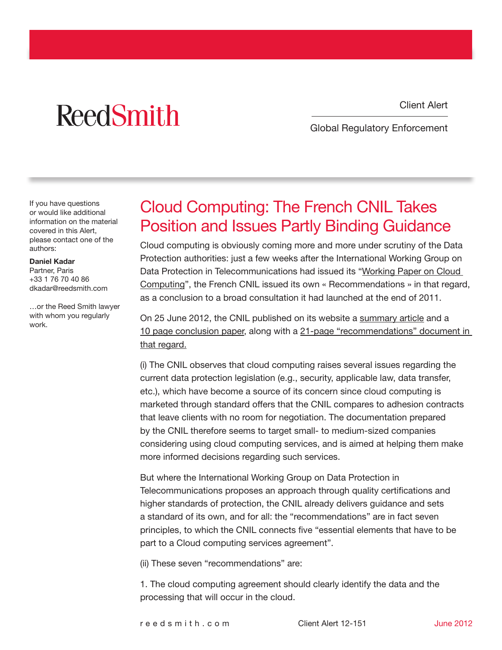# **ReedSmith**

Client Alert

Global Regulatory Enforcement

If you have questions or would like additional information on the material covered in this Alert, please contact one of the authors:

#### Daniel Kadar

Partner, Paris +33 1 76 70 40 86 dkadar@reedsmith.com

…or the Reed Smith lawyer with whom you regularly work.

### Cloud Computing: The French CNIL Takes Position and Issues Partly Binding Guidance

Cloud computing is obviously coming more and more under scrutiny of the Data Protection authorities: just a few weeks after the International Working Group on Data Protection in Telecommunications had issued its "[Working Paper on Cloud](http://www.globalregulatoryenforcementlawblog.com/2012/06/articles/data-security/the-international-working-group-on-data-protection-in-telecommunications-issues-working-paper-on-cloud-computing-on-24-april-2012/)  [Computing"](http://www.globalregulatoryenforcementlawblog.com/2012/06/articles/data-security/the-international-working-group-on-data-protection-in-telecommunications-issues-working-paper-on-cloud-computing-on-24-april-2012/), the French CNIL issued its own « Recommendations » in that regard, as a conclusion to a broad consultation it had launched at the end of 2011.

On 25 June 2012, the CNIL published on its website a [summary article](http://www.cnil.fr/english/news-and-events/news/article/cloud-computing-cnils-recommandations-for-companies-using-these-new-services/) and a [10 page conclusion paper,](http://www.cnil.fr/fileadmin/images/la_cnil/actualite/Synthese_des_reponses_a_la_consultation_publique_sur_le_Cloud_et_analyse_de_la_CNIL.pdf) along with a [21-page "recommendations" document in](http://www.cnil.fr/fileadmin/images/la_cnil/actualite/Recommandations_pour_les_entreprises_qui_envisagent_de_souscrire_a_des_services_de_Cloud.pdf)  [that regard.](http://www.cnil.fr/fileadmin/images/la_cnil/actualite/Recommandations_pour_les_entreprises_qui_envisagent_de_souscrire_a_des_services_de_Cloud.pdf)

(i) The CNIL observes that cloud computing raises several issues regarding the current data protection legislation (e.g., security, applicable law, data transfer, etc.), which have become a source of its concern since cloud computing is marketed through standard offers that the CNIL compares to adhesion contracts that leave clients with no room for negotiation. The documentation prepared by the CNIL therefore seems to target small- to medium-sized companies considering using cloud computing services, and is aimed at helping them make more informed decisions regarding such services.

But where the International Working Group on Data Protection in Telecommunications proposes an approach through quality certifications and higher standards of protection, the CNIL already delivers guidance and sets a standard of its own, and for all: the "recommendations" are in fact seven principles, to which the CNIL connects five "essential elements that have to be part to a Cloud computing services agreement".

(ii) These seven "recommendations" are:

1. The cloud computing agreement should clearly identify the data and the processing that will occur in the cloud.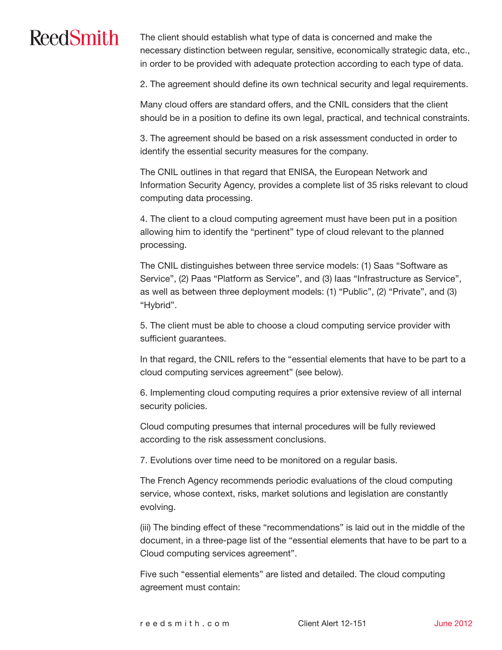# **ReedSmith**

The client should establish what type of data is concerned and make the necessary distinction between regular, sensitive, economically strategic data, etc., in order to be provided with adequate protection according to each type of data.

2. The agreement should define its own technical security and legal requirements.

Many cloud offers are standard offers, and the CNIL considers that the client should be in a position to define its own legal, practical, and technical constraints.

3. The agreement should be based on a risk assessment conducted in order to identify the essential security measures for the company.

The CNIL outlines in that regard that ENISA, the European Network and Information Security Agency, provides a complete list of 35 risks relevant to cloud computing data processing.

4. The client to a cloud computing agreement must have been put in a position allowing him to identify the "pertinent" type of cloud relevant to the planned processing.

The CNIL distinguishes between three service models: (1) Saas "Software as Service", (2) Paas "Platform as Service", and (3) Iaas "Infrastructure as Service", as well as between three deployment models: (1) "Public", (2) "Private", and (3) "Hybrid".

5. The client must be able to choose a cloud computing service provider with sufficient guarantees.

In that regard, the CNIL refers to the "essential elements that have to be part to a cloud computing services agreement" (see below).

6. Implementing cloud computing requires a prior extensive review of all internal security policies.

Cloud computing presumes that internal procedures will be fully reviewed according to the risk assessment conclusions.

7. Evolutions over time need to be monitored on a regular basis.

The French Agency recommends periodic evaluations of the cloud computing service, whose context, risks, market solutions and legislation are constantly evolving.

(iii) The binding effect of these "recommendations" is laid out in the middle of the document, in a three-page list of the "essential elements that have to be part to a Cloud computing services agreement".

Five such "essential elements" are listed and detailed. The cloud computing agreement must contain: